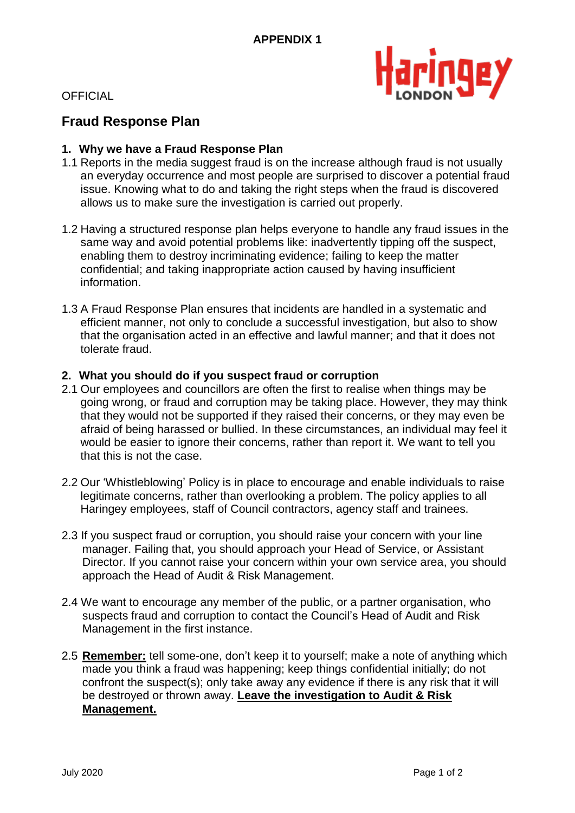

**OFFICIAL** 

## **Fraud Response Plan**

## **1. Why we have a Fraud Response Plan**

- 1.1 Reports in the media suggest fraud is on the increase although fraud is not usually an everyday occurrence and most people are surprised to discover a potential fraud issue. Knowing what to do and taking the right steps when the fraud is discovered allows us to make sure the investigation is carried out properly.
- 1.2 Having a structured response plan helps everyone to handle any fraud issues in the same way and avoid potential problems like: inadvertently tipping off the suspect, enabling them to destroy incriminating evidence; failing to keep the matter confidential; and taking inappropriate action caused by having insufficient information.
- 1.3 A Fraud Response Plan ensures that incidents are handled in a systematic and efficient manner, not only to conclude a successful investigation, but also to show that the organisation acted in an effective and lawful manner; and that it does not tolerate fraud.

## **2. What you should do if you suspect fraud or corruption**

- 2.1 Our employees and councillors are often the first to realise when things may be going wrong, or fraud and corruption may be taking place. However, they may think that they would not be supported if they raised their concerns, or they may even be afraid of being harassed or bullied. In these circumstances, an individual may feel it would be easier to ignore their concerns, rather than report it. We want to tell you that this is not the case.
- 2.2 Our 'Whistleblowing' Policy is in place to encourage and enable individuals to raise legitimate concerns, rather than overlooking a problem. The policy applies to all Haringey employees, staff of Council contractors, agency staff and trainees.
- 2.3 If you suspect fraud or corruption, you should raise your concern with your line manager. Failing that, you should approach your Head of Service, or Assistant Director. If you cannot raise your concern within your own service area, you should approach the Head of Audit & Risk Management.
- 2.4 We want to encourage any member of the public, or a partner organisation, who suspects fraud and corruption to contact the Council's Head of Audit and Risk Management in the first instance.
- 2.5 **Remember:** tell some-one, don't keep it to yourself; make a note of anything which made you think a fraud was happening; keep things confidential initially; do not confront the suspect(s); only take away any evidence if there is any risk that it will be destroyed or thrown away. **Leave the investigation to Audit & Risk Management.**